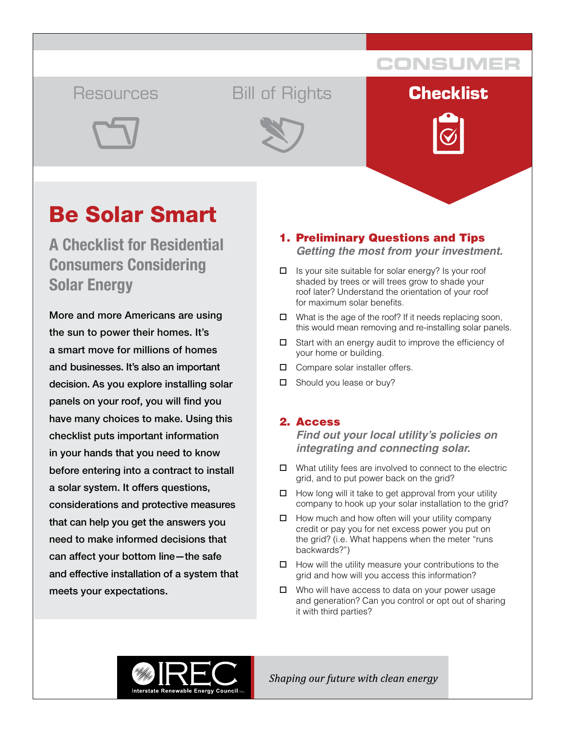## Resources Bill of Rights **Checklist**



**CONSUMER**





# Be Solar Smart

**A Checklist for Residential Consumers Considering Solar Energy**

More and more Americans are using the sun to power their homes. It's a smart move for millions of homes and businesses. It's also an important decision. As you explore installing solar panels on your roof, you will find you have many choices to make. Using this checklist puts important information in your hands that you need to know before entering into a contract to install a solar system. It offers questions, considerations and protective measures that can help you get the answers you need to make informed decisions that can affect your bottom line—the safe and effective installation of a system that meets your expectations.

## 1. Preliminary Questions and Tips *Getting the most from your investment.*

- $\Box$  Is your site suitable for solar energy? Is your roof shaded by trees or will trees grow to shade your roof later? Understand the orientation of your roof for maximum solar benefits.
- $\Box$  What is the age of the roof? If it needs replacing soon, this would mean removing and re-installing solar panels.
- $\square$  Start with an energy audit to improve the efficiency of your home or building.
- $\Box$  Compare solar installer offers.
- $\square$  Should you lease or buy?

## 2. Access

*Find out your local utility's policies on integrating and connecting solar.* 

- $\Box$  What utility fees are involved to connect to the electric grid, and to put power back on the grid?
- $\Box$  How long will it take to get approval from your utility company to hook up your solar installation to the grid?
- $\Box$  How much and how often will your utility company credit or pay you for net excess power you put on the grid? (i.e. What happens when the meter "runs backwards?")
- $\Box$  How will the utility measure your contributions to the grid and how will you access this information?
- $\Box$  Who will have access to data on your power usage and generation? Can you control or opt out of sharing it with third parties?



Shaping our future with clean energy